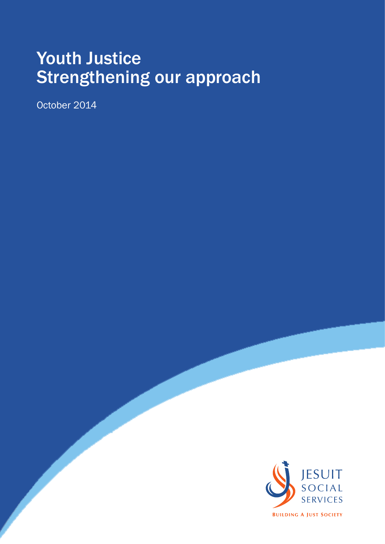# Youth Justice Strengthening our approach

October 2014

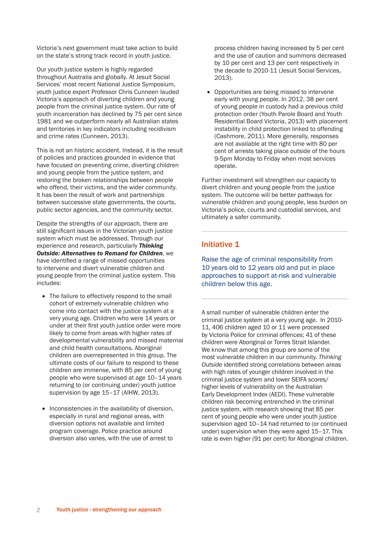Victoria's next government must take action to build on the state's strong track record in youth justice.

Our youth justice system is highly regarded throughout Australia and globally. At Jesuit Social Services' most recent National Justice Symposium, youth justice expert Professor Chris Cunneen lauded Victoria's approach of diverting children and young people from the criminal justice system. Our rate of youth incarceration has declined by 75 per cent since 1981 and we outperform nearly all Australian states and territories in key indicators including recidivism and crime rates (Cunneen, 2013).

This is not an historic accident. Instead, it is the result of policies and practices grounded in evidence that have focused on preventing crime, diverting children and young people from the justice system, and restoring the broken relationships between people who offend, their victims, and the wider community. It has been the result of work and partnerships between successive state governments, the courts, public sector agencies, and the community sector.

Despite the strengths of our approach, there are still significant issues in the Victorian youth justice system which must be addressed. Through our experience and research, particularly *Thinking Outside: Alternatives to Remand for Children*, we have identified a range of missed opportunities to intervene and divert vulnerable children and young people from the criminal justice system. This includes:

- The failure to effectively respond to the small cohort of extremely vulnerable children who come into contact with the justice system at a very young age. Children who were 14 years or under at their first youth justice order were more likely to come from areas with higher rates of developmental vulnerability and missed maternal and child health consultations. Aboriginal children are overrepresented in this group. The ultimate costs of our failure to respond to these children are immense, with 85 per cent of young people who were supervised at age 10–14 years returning to (or continuing under) youth justice supervision by age 15–17 (AIHW, 2013).
- Inconsistencies in the availability of diversion, especially in rural and regional areas, with diversion options not available and limited program coverage. Police practice around diversion also varies, with the use of arrest to

process children having increased by 5 per cent and the use of caution and summons decreased by 10 per cent and 13 per cent respectively in the decade to 2010-11 (Jesuit Social Services, 2013).

• Opportunities are being missed to intervene early with young people. In 2012, 38 per cent of young people in custody had a previous child protection order (Youth Parole Board and Youth Residential Board Victoria, 2013) with placement instability in child protection linked to offending (Cashmore, 2011). More generally, responses are not available at the right time with 80 per cent of arrests taking place outside of the hours 9-5pm Monday to Friday when most services operate.

Further investment will strengthen our capacity to divert children and young people from the justice system. The outcome will be better pathways for vulnerable children and young people, less burden on Victoria's police, courts and custodial services, and ultimately a safer community.

# Initiative 1

Raise the age of criminal responsibility from 10 years old to 12 years old and put in place approaches to support at-risk and vulnerable children below this age.

A small number of vulnerable children enter the criminal justice system at a very young age. In 2010- 11, 406 children aged 10 or 11 were processed by Victoria Police for criminal offences; 41 of these children were Aboriginal or Torres Strait Islander. We know that among this group are some of the most vulnerable children in our community. *Thinking Outside* identified strong correlations between areas with high rates of younger children involved in the criminal justice system and lower SEIFA scores/ higher levels of vulnerability on the Australian Early Development Index (AEDI). These vulnerable children risk becoming entrenched in the criminal justice system, with research showing that 85 per cent of young people who were under youth justice supervision aged 10–14 had returned to (or continued under) supervision when they were aged 15–17. This rate is even higher (91 per cent) for Aboriginal children.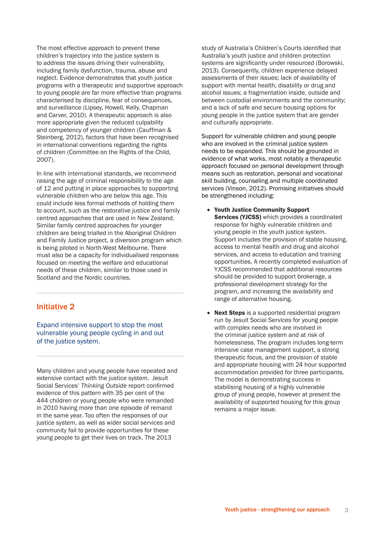The most effective approach to prevent these children's trajectory into the justice system is to address the issues driving their vulnerability, including family dysfunction, trauma, abuse and neglect. Evidence demonstrates that youth justice programs with a therapeutic and supportive approach to young people are far more effective than programs characterised by discipline, fear of consequences, and surveillance (Lipsey, Howell, Kelly, Chapman and Carver, 2010). A therapeutic approach is also more appropriate given the reduced culpability and competency of younger children (Cauffman & Steinberg, 2012), factors that have been recognised in international conventions regarding the rights of children (Committee on the Rights of the Child, 2007).

In line with international standards, we recommend raising the age of criminal responsibility to the age of 12 and putting in place approaches to supporting vulnerable children who are below this age. This could include less formal methods of holding them to account, such as the restorative justice and family centred approaches that are used in New Zealand. Similar family centred approaches for younger children are being trialled in the Aboriginal Children and Family Justice project, a diversion program which is being piloted in North-West Melbourne. There must also be a capacity for individualised responses focused on meeting the welfare and educational needs of these children, similar to those used in Scotland and the Nordic countries.

## Initiative 2

Expand intensive support to stop the most vulnerable young people cycling in and out of the justice system.

Many children and young people have repeated and extensive contact with the justice system. Jesuit Social Services' *Thinking Outside* report confirmed evidence of this pattern with 35 per cent of the 444 children or young people who were remanded in 2010 having more than one episode of remand in the same year. Too often the responses of our justice system, as well as wider social services and community fail to provide opportunities for these young people to get their lives on track. The 2013

study of Australia's Children's Courts identified that Australia's youth justice and children protection systems are significantly under resourced (Borowski, 2013). Consequently, children experience delayed assessments of their issues; lack of availability of support with mental health, disability or drug and alcohol issues; a fragmentation inside, outside and between custodial environments and the community; and a lack of safe and secure housing options for young people in the justice system that are gender and culturally appropriate.

Support for vulnerable children and young people who are involved in the criminal justice system needs to be expanded. This should be grounded in evidence of what works, most notably a therapeutic approach focused on personal development through means such as restoration, personal and vocational skill building, counseling and multiple coordinated services (Vinson, 2012). Promising initiatives should be strengthened including:

- • Youth Justice Community Support Services (YJCSS) which provides a coordinated response for highly vulnerable children and young people in the youth justice system. Support includes the provision of stable housing, access to mental health and drug and alcohol services, and access to education and training opportunities. A recently completed evaluation of YJCSS recommended that additional resources should be provided to support brokerage, a professional development strategy for the program, and increasing the availability and range of alternative housing.
- Next Steps is a supported residential program run by Jesuit Social Services for young people with complex needs who are involved in the criminal justice system and at risk of homelessness. The program includes long-term intensive case management support, a strong therapeutic focus, and the provision of stable and appropriate housing with 24 hour supported accommodation provided for three participants. The model is demonstrating success in stabilising housing of a highly vulnerable group of young people, however at present the availability of supported housing for this group remains a major issue.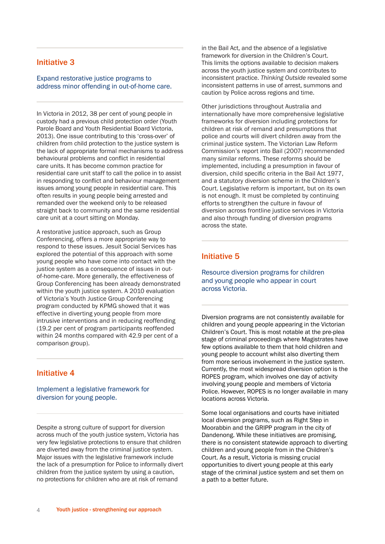## Initiative 3

Expand restorative justice programs to address minor offending in out-of-home care.

In Victoria in 2012, 38 per cent of young people in custody had a previous child protection order (Youth Parole Board and Youth Residential Board Victoria, 2013). One issue contributing to this 'cross-over' of children from child protection to the justice system is the lack of appropriate formal mechanisms to address behavioural problems and conflict in residential care units. It has become common practice for residential care unit staff to call the police in to assist in responding to conflict and behaviour management issues among young people in residential care. This often results in young people being arrested and remanded over the weekend only to be released straight back to community and the same residential care unit at a court sitting on Monday.

A restorative justice approach, such as Group Conferencing, offers a more appropriate way to respond to these issues. Jesuit Social Services has explored the potential of this approach with some young people who have come into contact with the justice system as a consequence of issues in outof-home-care. More generally, the effectiveness of Group Conferencing has been already demonstrated within the youth justice system. A 2010 evaluation of Victoria's Youth Justice Group Conferencing program conducted by KPMG showed that it was effective in diverting young people from more intrusive interventions and in reducing reoffending (19.2 per cent of program participants reoffended within 24 months compared with 42.9 per cent of a comparison group).

## Initiative 4

Implement a legislative framework for diversion for young people.

Despite a strong culture of support for diversion across much of the youth justice system, Victoria has very few legislative protections to ensure that children are diverted away from the criminal justice system. Major issues with the legislative framework include the lack of a presumption for Police to informally divert children from the justice system by using a caution, no protections for children who are at risk of remand

in the Bail Act, and the absence of a legislative framework for diversion in the Children's Court. This limits the options available to decision makers across the youth justice system and contributes to inconsistent practice. *Thinking Outside* revealed some inconsistent patterns in use of arrest, summons and caution by Police across regions and time.

Other jurisdictions throughout Australia and internationally have more comprehensive legislative frameworks for diversion including protections for children at risk of remand and presumptions that police and courts will divert children away from the criminal justice system. The Victorian Law Reform Commission's report into Bail (2007) recommended many similar reforms. These reforms should be implemented, including a presumption in favour of diversion, child specific criteria in the Bail Act 1977, and a statutory diversion scheme in the Children's Court. Legislative reform is important, but on its own is not enough. It must be completed by continuing efforts to strengthen the culture in favour of diversion across frontline justice services in Victoria and also through funding of diversion programs across the state.

## Initiative 5

Resource diversion programs for children and young people who appear in court across Victoria.

Diversion programs are not consistently available for children and young people appearing in the Victorian Children's Court. This is most notable at the pre-plea stage of criminal proceedings where Magistrates have few options available to them that hold children and young people to account whilst also diverting them from more serious involvement in the justice system. Currently, the most widespread diversion option is the ROPES program, which involves one day of activity involving young people and members of Victoria Police. However, ROPES is no longer available in many locations across Victoria.

Some local organisations and courts have initiated local diversion programs, such as Right Step in Moorabbin and the GRIPP program in the city of Dandenong. While these initiatives are promising, there is no consistent statewide approach to diverting children and young people from in the Children's Court. As a result, Victoria is missing crucial opportunities to divert young people at this early stage of the criminal justice system and set them on a path to a better future.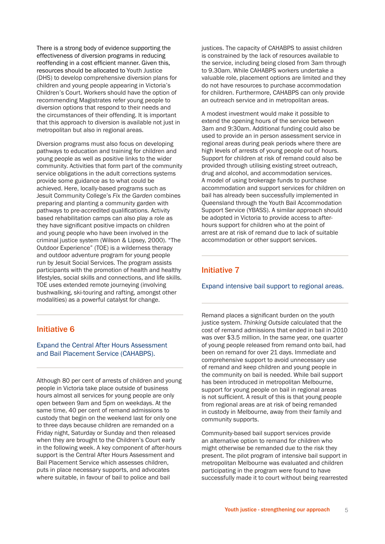There is a strong body of evidence supporting the effectiveness of diversion programs in reducing reoffending in a cost efficient manner. Given this, resources should be allocated to Youth Justice (DHS) to develop comprehensive diversion plans for children and young people appearing in Victoria's Children's Court. Workers should have the option of recommending Magistrates refer young people to diversion options that respond to their needs and the circumstances of their offending. It is important that this approach to diversion is available not just in metropolitan but also in regional areas.

Diversion programs must also focus on developing pathways to education and training for children and young people as well as positive links to the wider community. Activities that form part of the community service obligations in the adult corrections systems provide some guidance as to what could be achieved. Here, locally-based programs such as Jesuit Community College's *Fix the Garden* combines preparing and planting a community garden with pathways to pre-accredited qualifications. Activity based rehabilitation camps can also play a role as they have significant positive impacts on children and young people who have been involved in the criminal justice system (Wilson & Lipsey, 2000). "The Outdoor Experience" (TOE) is a wilderness therapy and outdoor adventure program for young people run by Jesuit Social Services. The program assists participants with the promotion of health and healthy lifestyles, social skills and connections, and life skills. TOE uses extended remote journeying (involving bushwalking, ski-touring and rafting, amongst other modalities) as a powerful catalyst for change.

# Initiative 6

#### Expand the Central After Hours Assessment and Bail Placement Service (CAHABPS).

Although 80 per cent of arrests of children and young people in Victoria take place outside of business hours almost all services for young people are only open between 9am and 5pm on weekdays. At the same time, 40 per cent of remand admissions to custody that begin on the weekend last for only one to three days because children are remanded on a Friday night, Saturday or Sunday and then released when they are brought to the Children's Court early in the following week. A key component of after-hours support is the Central After Hours Assessment and Bail Placement Service which assesses children, puts in place necessary supports, and advocates where suitable, in favour of bail to police and bail

justices. The capacity of CAHABPS to assist children is constrained by the lack of resources available to the service, including being closed from 3am through to 9.30am. While CAHABPS workers undertake a valuable role, placement options are limited and they do not have resources to purchase accommodation for children. Furthermore, CAHABPS can only provide an outreach service and in metropolitan areas.

A modest investment would make it possible to extend the opening hours of the service between 3am and 9:30am. Additional funding could also be used to provide an in person assessment service in regional areas during peak periods where there are high levels of arrests of young people out of hours. Support for children at risk of remand could also be provided through utilising existing street outreach, drug and alcohol, and accommodation services. A model of using brokerage funds to purchase accommodation and support services for children on bail has already been successfully implemented in Queensland through the Youth Bail Accommodation Support Service (YBASS). A similar approach should be adopted in Victoria to provide access to afterhours support for children who at the point of arrest are at risk of remand due to lack of suitable accommodation or other support services.

# Initiative 7

#### Expand intensive bail support to regional areas.

Remand places a significant burden on the youth justice system. *Thinking Outside* calculated that the cost of remand admissions that ended in bail in 2010 was over \$3.5 million. In the same year, one quarter of young people released from remand onto bail, had been on remand for over 21 days. Immediate and comprehensive support to avoid unnecessary use of remand and keep children and young people in the community on bail is needed. While bail support has been introduced in metropolitan Melbourne, support for young people on bail in regional areas is not sufficient. A result of this is that young people from regional areas are at risk of being remanded in custody in Melbourne, away from their family and community supports.

Community-based bail support services provide an alternative option to remand for children who might otherwise be remanded due to the risk they present. The pilot program of intensive bail support in metropolitan Melbourne was evaluated and children participating in the program were found to have successfully made it to court without being rearrested